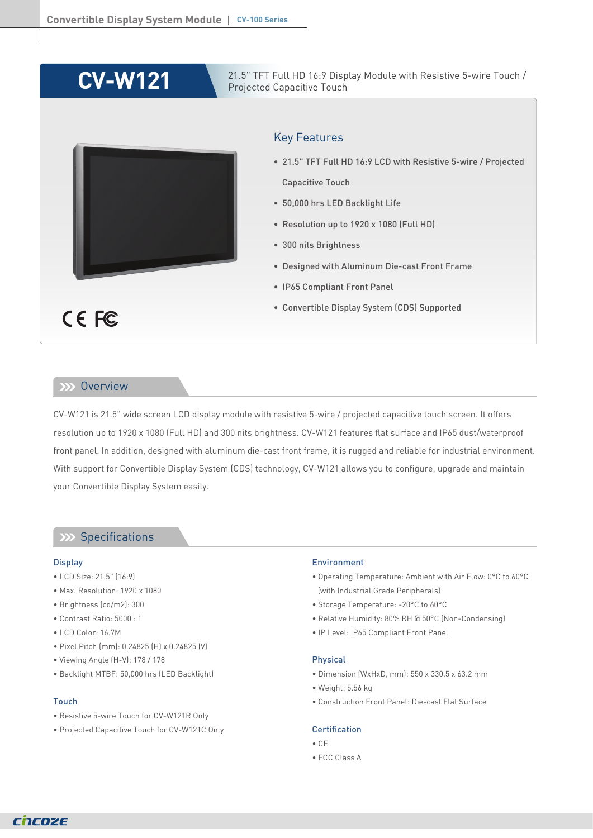# **CV-W121**

21.5" TFT Full HD 16:9 Display Module with Resistive 5-wire Touch / Projected Capacitive Touch

# Key Features

- 21.5" TFT Full HD 16:9 LCD with Resistive 5-wire / Projected Capacitive Touch
- 50,000 hrs LED Backlight Life
- Resolution up to 1920 x 1080 (Full HD)
- 300 nits Brightness
- Designed with Aluminum Die-cast Front Frame
- IP65 Compliant Front Panel
- Convertible Display System (CDS) Supported

## **Overview**

CE FC

CV-W121 is 21.5" wide screen LCD display module with resistive 5-wire / projected capacitive touch screen. It offers resolution up to 1920 x 1080 (Full HD) and 300 nits brightness. CV-W121 features flat surface and IP65 dust/waterproof front panel. In addition, designed with aluminum die-cast front frame, it is rugged and reliable for industrial environment. With support for Convertible Display System (CDS) technology, CV-W121 allows you to configure, upgrade and maintain your Convertible Display System easily.

# **Specifications**

#### **Display**

- LCD Size: 21.5" (16:9)
- Max. Resolution: 1920 x 1080
- Brightness (cd/m2): 300
- Contrast Ratio: 5000 : 1
- LCD Color: 16.7M
- Pixel Pitch (mm): 0.24825 (H) x 0.24825 (V)
- Viewing Angle (H-V): 178 / 178
- Backlight MTBF: 50,000 hrs (LED Backlight)

### Touch

- Resistive 5-wire Touch for CV-W121R Only
- Projected Capacitive Touch for CV-W121C Only

#### Environment

- Operating Temperature: Ambient with Air Flow: 0°C to 60°C (with Industrial Grade Peripherals)
- Storage Temperature: -20°C to 60°C
- Relative Humidity: 80% RH @ 50°C (Non-Condensing)
- IP Level: IP65 Compliant Front Panel

#### Physical

- Dimension (WxHxD, mm): 550 x 330.5 x 63.2 mm
- Weight: 5.56 kg
- Construction Front Panel: Die-cast Flat Surface

#### Certification

- CE
- FCC Class A